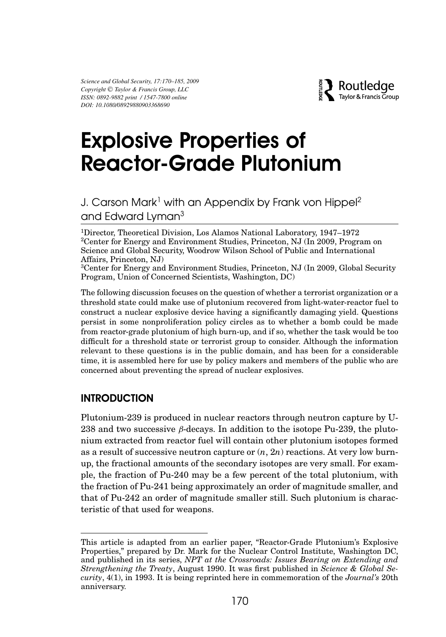*Science and Global Security, 17:170–185, 2009 Copyright* <sup>C</sup> *Taylor & Francis Group, LLC ISSN: 0892-9882 print / 1547-7800 online DOI: 10.1080/08929880903368690*



# Explosive Properties of Reactor-Grade Plutonium

# J. Carson Mark<sup>1</sup> with an Appendix by Frank von Hippel<sup>2</sup> and Edward Lyman<sup>3</sup>

<sup>1</sup>Director, Theoretical Division, Los Alamos National Laboratory, 1947–1972 2Center for Energy and Environment Studies, Princeton, NJ (In 2009, Program on Science and Global Security, Woodrow Wilson School of Public and International Affairs, Princeton, NJ)

3Center for Energy and Environment Studies, Princeton, NJ (In 2009, Global Security Program, Union of Concerned Scientists, Washington, DC)

The following discussion focuses on the question of whether a terrorist organization or a threshold state could make use of plutonium recovered from light-water-reactor fuel to construct a nuclear explosive device having a significantly damaging yield. Questions persist in some nonproliferation policy circles as to whether a bomb could be made from reactor-grade plutonium of high burn-up, and if so, whether the task would be too difficult for a threshold state or terrorist group to consider. Although the information relevant to these questions is in the public domain, and has been for a considerable time, it is assembled here for use by policy makers and members of the public who are concerned about preventing the spread of nuclear explosives.

## **INTRODUCTION**

Plutonium-239 is produced in nuclear reactors through neutron capture by U-238 and two successive *β*-decays. In addition to the isotope Pu-239, the plutonium extracted from reactor fuel will contain other plutonium isotopes formed as a result of successive neutron capture or (*n*, 2*n*) reactions. At very low burnup, the fractional amounts of the secondary isotopes are very small. For example, the fraction of Pu-240 may be a few percent of the total plutonium, with the fraction of Pu-241 being approximately an order of magnitude smaller, and that of Pu-242 an order of magnitude smaller still. Such plutonium is characteristic of that used for weapons.

This article is adapted from an earlier paper, "Reactor-Grade Plutonium's Explosive Properties," prepared by Dr. Mark for the Nuclear Control Institute, Washington DC, and published in its series, *NPT at the Crossroads: Issues Bearing on Extending and Strengthening the Treaty*, August 1990. It was first published in *Science & Global Security*, 4(1), in 1993. It is being reprinted here in commemoration of the *Journal's* 20th anniversary.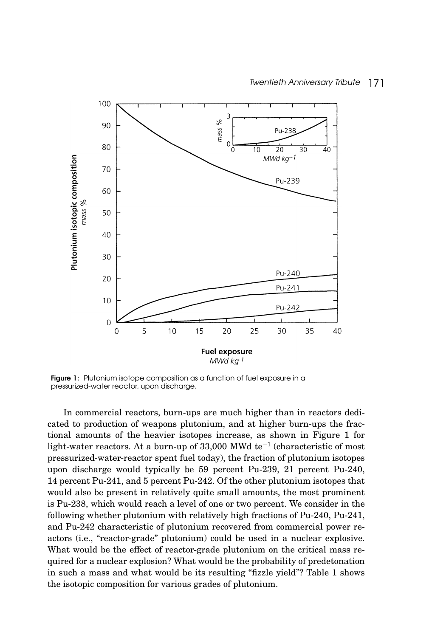

Figure 1: Plutonium isotope composition as a function of fuel exposure in a pressurized-water reactor, upon discharge.

In commercial reactors, burn-ups are much higher than in reactors dedicated to production of weapons plutonium, and at higher burn-ups the fractional amounts of the heavier isotopes increase, as shown in Figure 1 for light-water reactors. At a burn-up of 33,000 MWd te−<sup>1</sup> (characteristic of most pressurized-water-reactor spent fuel today), the fraction of plutonium isotopes upon discharge would typically be 59 percent Pu-239, 21 percent Pu-240, 14 percent Pu-241, and 5 percent Pu-242. Of the other plutonium isotopes that would also be present in relatively quite small amounts, the most prominent is Pu-238, which would reach a level of one or two percent. We consider in the following whether plutonium with relatively high fractions of Pu-240, Pu-241, and Pu-242 characteristic of plutonium recovered from commercial power reactors (i.e., "reactor-grade" plutonium) could be used in a nuclear explosive. What would be the effect of reactor-grade plutonium on the critical mass required for a nuclear explosion? What would be the probability of predetonation in such a mass and what would be its resulting "fizzle yield"? Table 1 shows the isotopic composition for various grades of plutonium.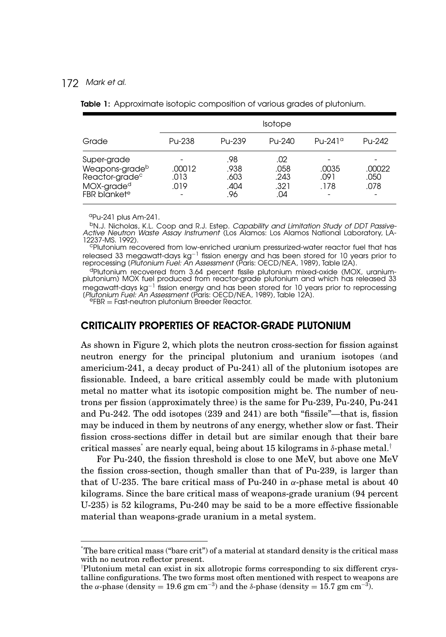|                                                                                                                   | Isotope                |                                    |                                    |                                 |                        |
|-------------------------------------------------------------------------------------------------------------------|------------------------|------------------------------------|------------------------------------|---------------------------------|------------------------|
| Grade                                                                                                             | Pu-238                 | Pu-239                             | Pu-240                             | $P_{U}$ -241 $\alpha$           | Pu-242                 |
| Super-grade<br>Weapons-gradeb<br>Reactor-grade <sup>c</sup><br>MOX-grade <sup>d</sup><br>FBR blanket <sup>e</sup> | .00012<br>.013<br>.019 | .98<br>.938<br>.603<br>.404<br>.96 | .02<br>.058<br>.243<br>.321<br>.04 | -<br>.0035<br>.091<br>.178<br>٠ | .00022<br>.050<br>.078 |

Table 1: Approximate isotopic composition of various grades of plutonium.

aPu-241 plus Am-241.

bN.J. Nicholas, K.L. Coop and R.J. Estep. Capability and Limitation Study of DDT Passive-Active Neutron Waste Assay Instrument (Los Alamos: Los Alamos National Laboratory, LA-<br>12237-MS. 1992).

<sup>c</sup>Plutonium recovered from low-enriched uranium pressurized-water reactor fuel that has released 33 megawatt-days kg<sup>−1</sup> fission energy and has been stored for 10 years prior to<br>reprocessing (*Plutonium Fuel: An Assessment* (Paris: OECD/NEA, 1989), Table I2A).

<sup>d</sup>Plutonium recovered from 3.64 percent fissile plutonium mixed-oxide (MOX, uranium-<br>plutonium) MOX fuel produced from reactor-grade plutonium and which has released 33 megawatt-days kg $^{-1}$  fission energy and has been stored for 10 years prior to reprocessing (*Plutonium Fuel: An Assessment* (Paris: OECD/NEA, 1989), Table 12A).<br><sup>e</sup>FBR = Fast-neutron plutonium Breeder Reactor.

#### CRITICALITY PROPERTIES OF REACTOR-GRADE PLUTONIUM

As shown in Figure 2, which plots the neutron cross-section for fission against neutron energy for the principal plutonium and uranium isotopes (and americium-241, a decay product of Pu-241) all of the plutonium isotopes are fissionable. Indeed, a bare critical assembly could be made with plutonium metal no matter what its isotopic composition might be. The number of neutrons per fission (approximately three) is the same for Pu-239, Pu-240, Pu-241 and Pu-242. The odd isotopes (239 and 241) are both "fissile"—that is, fission may be induced in them by neutrons of any energy, whether slow or fast. Their fission cross-sections differ in detail but are similar enough that their bare critical masses<sup>∗</sup> are nearly equal, being about 15 kilograms in *δ*-phase metal.†

For Pu-240, the fission threshold is close to one MeV, but above one MeV the fission cross-section, though smaller than that of Pu-239, is larger than that of U-235. The bare critical mass of Pu-240 in  $\alpha$ -phase metal is about 40 kilograms. Since the bare critical mass of weapons-grade uranium (94 percent U-235) is 52 kilograms, Pu-240 may be said to be a more effective fissionable material than weapons-grade uranium in a metal system.

<sup>∗</sup> The bare critical mass ("bare crit") of a material at standard density is the critical mass with no neutron reflector present.

<sup>†</sup> Plutonium metal can exist in six allotropic forms corresponding to six different crystalline configurations. The two forms most often mentioned with respect to weapons are the *α*-phase (density = 19.6 gm cm<sup>-3</sup>) and the *δ*-phase (density = 15.7 gm cm<sup>-3</sup>).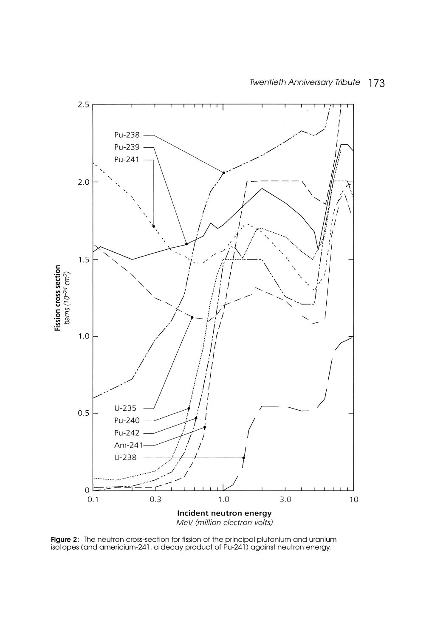

Incident neutron energy<br>MeV (million electron volts)

**Figure 2:** The neutron cross-section for fission of the principal plutonium and uranium isotopes (and americium-241, a decay product of Pu-241) against neutron energy.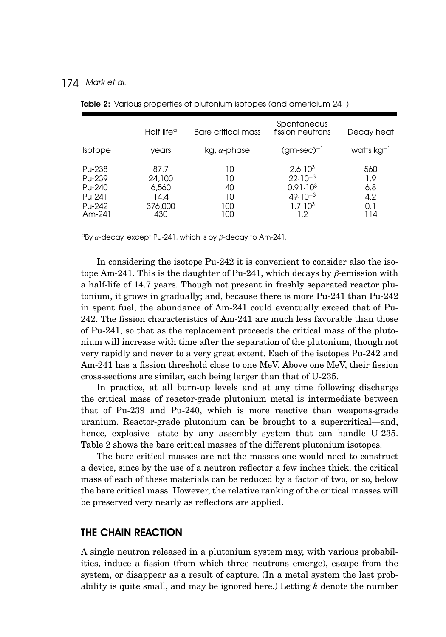|                                                          | $H$ alf-life <sup>a</sup>                         | Bare critical mass                 | Spontaneous<br>fission neutrons                                                                      | Decay heat                             |
|----------------------------------------------------------|---------------------------------------------------|------------------------------------|------------------------------------------------------------------------------------------------------|----------------------------------------|
| <b>Isotope</b>                                           | vears                                             | $kg, \alpha$ -phase                | $(gm\text{-}sec)^{-1}$                                                                               | watts $kg^{-1}$                        |
| Pu-238<br>Pu-239<br>Pu-240<br>Pu-241<br>Pu-242<br>Am-241 | 87.7<br>24,100<br>6,560<br>14.4<br>376,000<br>430 | 10<br>10<br>40<br>10<br>100<br>100 | $2.6 \cdot 10^{3}$<br>$22.10^{-3}$<br>$0.91 \cdot 10^3$<br>$49.10^{-3}$<br>$1.7 \cdot 10^{3}$<br>1.2 | 560<br>1.9<br>6.8<br>4.2<br>0.1<br>114 |

Table 2: Various properties of plutonium isotopes (and americium-241).

<sup>α</sup>By  $\alpha$ -decay. except Pu-241, which is by  $\beta$ -decay to Am-241.

In considering the isotope Pu-242 it is convenient to consider also the isotope Am-241. This is the daughter of Pu-241, which decays by *β*-emission with a half-life of 14.7 years. Though not present in freshly separated reactor plutonium, it grows in gradually; and, because there is more Pu-241 than Pu-242 in spent fuel, the abundance of Am-241 could eventually exceed that of Pu-242. The fission characteristics of Am-241 are much less favorable than those of Pu-241, so that as the replacement proceeds the critical mass of the plutonium will increase with time after the separation of the plutonium, though not very rapidly and never to a very great extent. Each of the isotopes Pu-242 and Am-241 has a fission threshold close to one MeV. Above one MeV, their fission cross-sections are similar, each being larger than that of U-235.

In practice, at all burn-up levels and at any time following discharge the critical mass of reactor-grade plutonium metal is intermediate between that of Pu-239 and Pu-240, which is more reactive than weapons-grade uranium. Reactor-grade plutonium can be brought to a supercritical—and, hence, explosive—state by any assembly system that can handle U-235. Table 2 shows the bare critical masses of the different plutonium isotopes.

The bare critical masses are not the masses one would need to construct a device, since by the use of a neutron reflector a few inches thick, the critical mass of each of these materials can be reduced by a factor of two, or so, below the bare critical mass. However, the relative ranking of the critical masses will be preserved very nearly as reflectors are applied.

#### THE CHAIN REACTION

A single neutron released in a plutonium system may, with various probabilities, induce a fission (from which three neutrons emerge), escape from the system, or disappear as a result of capture. (In a metal system the last probability is quite small, and may be ignored here.) Letting *k* denote the number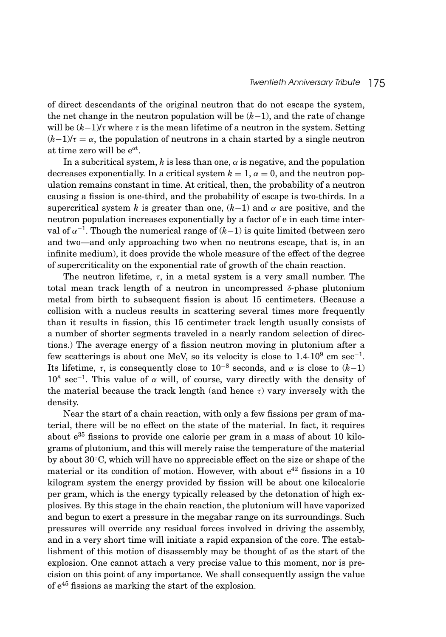of direct descendants of the original neutron that do not escape the system, the net change in the neutron population will be (*k*−1), and the rate of change will be  $(k-1)/\tau$  where  $\tau$  is the mean lifetime of a neutron in the system. Setting  $(k-1)/\tau = \alpha$ , the population of neutrons in a chain started by a single neutron at time zero will be e*<sup>α</sup>*<sup>t</sup> .

In a subcritical system,  $k$  is less than one,  $\alpha$  is negative, and the population decreases exponentially. In a critical system  $k = 1$ ,  $\alpha = 0$ , and the neutron population remains constant in time. At critical, then, the probability of a neutron causing a fission is one-third, and the probability of escape is two-thirds. In a supercritical system *k* is greater than one,  $(k-1)$  and  $\alpha$  are positive, and the neutron population increases exponentially by a factor of e in each time interval of  $\alpha^{-1}$ . Though the numerical range of  $(k-1)$  is quite limited (between zero and two—and only approaching two when no neutrons escape, that is, in an infinite medium), it does provide the whole measure of the effect of the degree of supercriticality on the exponential rate of growth of the chain reaction.

The neutron lifetime,  $\tau$ , in a metal system is a very small number. The total mean track length of a neutron in uncompressed *δ*-phase plutonium metal from birth to subsequent fission is about 15 centimeters. (Because a collision with a nucleus results in scattering several times more frequently than it results in fission, this 15 centimeter track length usually consists of a number of shorter segments traveled in a nearly random selection of directions.) The average energy of a fission neutron moving in plutonium after a few scatterings is about one MeV, so its velocity is close to  $1.4 \cdot 10^9$  cm sec<sup>-1</sup>. Its lifetime,  $\tau$ , is consequently close to 10<sup>-8</sup> seconds, and  $\alpha$  is close to  $(k-1)$ 108 sec−1. This value of *α* will, of course, vary directly with the density of the material because the track length (and hence *τ*) vary inversely with the density.

Near the start of a chain reaction, with only a few fissions per gram of material, there will be no effect on the state of the material. In fact, it requires about  $e^{35}$  fissions to provide one calorie per gram in a mass of about 10 kilograms of plutonium, and this will merely raise the temperature of the material by about 30◦C, which will have no appreciable effect on the size or shape of the material or its condition of motion. However, with about  $e^{42}$  fissions in a 10 kilogram system the energy provided by fission will be about one kilocalorie per gram, which is the energy typically released by the detonation of high explosives. By this stage in the chain reaction, the plutonium will have vaporized and begun to exert a pressure in the megabar range on its surroundings. Such pressures will override any residual forces involved in driving the assembly, and in a very short time will initiate a rapid expansion of the core. The establishment of this motion of disassembly may be thought of as the start of the explosion. One cannot attach a very precise value to this moment, nor is precision on this point of any importance. We shall consequently assign the value of  $e^{45}$  fissions as marking the start of the explosion.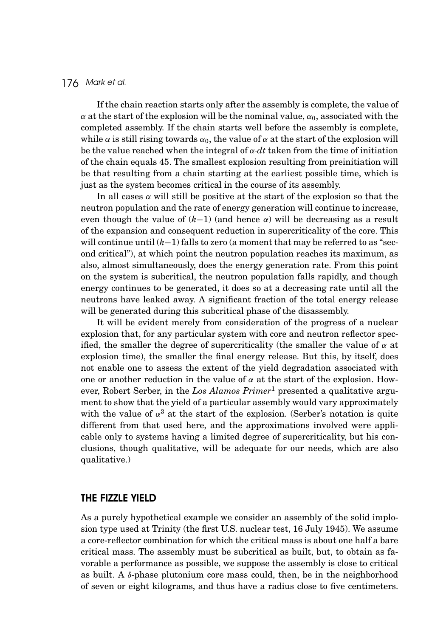If the chain reaction starts only after the assembly is complete, the value of *α* at the start of the explosion will be the nominal value,  $\alpha_0$ , associated with the completed assembly. If the chain starts well before the assembly is complete, while  $\alpha$  is still rising towards  $\alpha_0$ , the value of  $\alpha$  at the start of the explosion will be the value reached when the integral of  $\alpha$ ·*dt* taken from the time of initiation of the chain equals 45. The smallest explosion resulting from preinitiation will be that resulting from a chain starting at the earliest possible time, which is just as the system becomes critical in the course of its assembly.

In all cases  $\alpha$  will still be positive at the start of the explosion so that the neutron population and the rate of energy generation will continue to increase, even though the value of  $(k-1)$  (and hence  $\alpha$ ) will be decreasing as a result of the expansion and consequent reduction in supercriticality of the core. This will continue until (*k*−1) falls to zero (a moment that may be referred to as "second critical"), at which point the neutron population reaches its maximum, as also, almost simultaneously, does the energy generation rate. From this point on the system is subcritical, the neutron population falls rapidly, and though energy continues to be generated, it does so at a decreasing rate until all the neutrons have leaked away. A significant fraction of the total energy release will be generated during this subcritical phase of the disassembly.

It will be evident merely from consideration of the progress of a nuclear explosion that, for any particular system with core and neutron reflector specified, the smaller the degree of supercriticality (the smaller the value of  $\alpha$  at explosion time), the smaller the final energy release. But this, by itself, does not enable one to assess the extent of the yield degradation associated with one or another reduction in the value of  $\alpha$  at the start of the explosion. However, Robert Serber, in the *Los Alamos Primer*<sup>1</sup> presented a qualitative argument to show that the yield of a particular assembly would vary approximately with the value of  $\alpha^3$  at the start of the explosion. (Serber's notation is quite different from that used here, and the approximations involved were applicable only to systems having a limited degree of supercriticality, but his conclusions, though qualitative, will be adequate for our needs, which are also qualitative.)

#### THE FIZZLE YIELD

As a purely hypothetical example we consider an assembly of the solid implosion type used at Trinity (the first U.S. nuclear test, 16 July 1945). We assume a core-reflector combination for which the critical mass is about one half a bare critical mass. The assembly must be subcritical as built, but, to obtain as favorable a performance as possible, we suppose the assembly is close to critical as built. A *δ*-phase plutonium core mass could, then, be in the neighborhood of seven or eight kilograms, and thus have a radius close to five centimeters.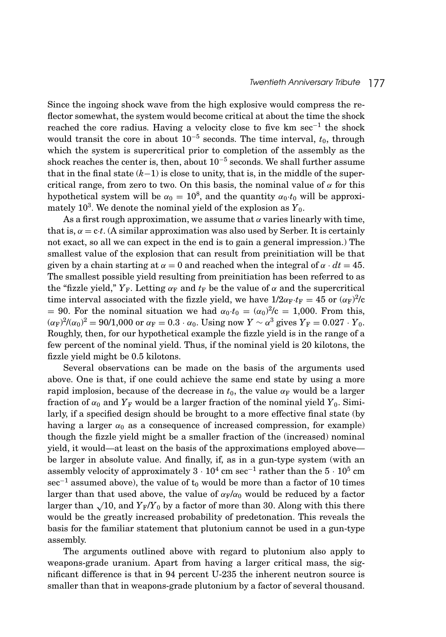Since the ingoing shock wave from the high explosive would compress the reflector somewhat, the system would become critical at about the time the shock reached the core radius. Having a velocity close to five km sec−<sup>1</sup> the shock would transit the core in about  $10^{-5}$  seconds. The time interval,  $t_0$ , through which the system is supercritical prior to completion of the assembly as the shock reaches the center is, then, about  $10^{-5}$  seconds. We shall further assume that in the final state (*k*−1) is close to unity, that is, in the middle of the supercritical range, from zero to two. On this basis, the nominal value of *α* for this hypothetical system will be  $\alpha_0 = 10^8$ , and the quantity  $\alpha_0 \cdot t_0$  will be approximately 10<sup>3</sup>. We denote the nominal yield of the explosion as  $Y_0$ .

As a first rough approximation, we assume that  $\alpha$  varies linearly with time, that is,  $\alpha = c \cdot t$ . (A similar approximation was also used by Serber. It is certainly not exact, so all we can expect in the end is to gain a general impression.) The smallest value of the explosion that can result from preinitiation will be that given by a chain starting at  $\alpha = 0$  and reached when the integral of  $\alpha \cdot dt = 45$ . The smallest possible yield resulting from preinitiation has been referred to as the "fizzle yield,"  $Y_F$ . Letting  $\alpha_F$  and  $t_F$  be the value of  $\alpha$  and the supercritical time interval associated with the fizzle yield, we have  $1/2\alpha_F \cdot t_F = 45$  or  $(\alpha_F)^2/c$ = 90. For the nominal situation we had  $\alpha_0 \cdot t_0 = (\alpha_0)^2/c = 1,000$ . From this,  $(\alpha_F)^2/(\alpha_0)^2 = 90/1{,}000$  or  $\alpha_F = 0.3 \cdot \alpha_0$ . Using now  $Y \sim \alpha^3$  gives  $Y_F = 0.027 \cdot Y_0$ . Roughly, then, for our hypothetical example the fizzle yield is in the range of a few percent of the nominal yield. Thus, if the nominal yield is 20 kilotons, the fizzle yield might be 0.5 kilotons.

Several observations can be made on the basis of the arguments used above. One is that, if one could achieve the same end state by using a more rapid implosion, because of the decrease in  $t_0$ , the value  $\alpha_F$  would be a larger fraction of  $\alpha_0$  and  $Y_F$  would be a larger fraction of the nominal yield  $Y_0$ . Similarly, if a specified design should be brought to a more effective final state (by having a larger  $\alpha_0$  as a consequence of increased compression, for example) though the fizzle yield might be a smaller fraction of the (increased) nominal yield, it would—at least on the basis of the approximations employed above be larger in absolute value. And finally, if, as in a gun-type system (with an assembly velocity of approximately  $3\cdot 10^4\rm\ cm\ sec^{-1}$  rather than the  $5\cdot 10^5\rm\ cm$  $\sec^{-1}$  assumed above), the value of  $t_0$  would be more than a factor of 10 times larger than that used above, the value of  $\alpha_F/\alpha_0$  would be reduced by a factor larger than  $\sqrt{10}$ , and  $Y_F/Y_0$  by a factor of more than 30. Along with this there would be the greatly increased probability of predetonation. This reveals the basis for the familiar statement that plutonium cannot be used in a gun-type assembly.

The arguments outlined above with regard to plutonium also apply to weapons-grade uranium. Apart from having a larger critical mass, the significant difference is that in 94 percent U-235 the inherent neutron source is smaller than that in weapons-grade plutonium by a factor of several thousand.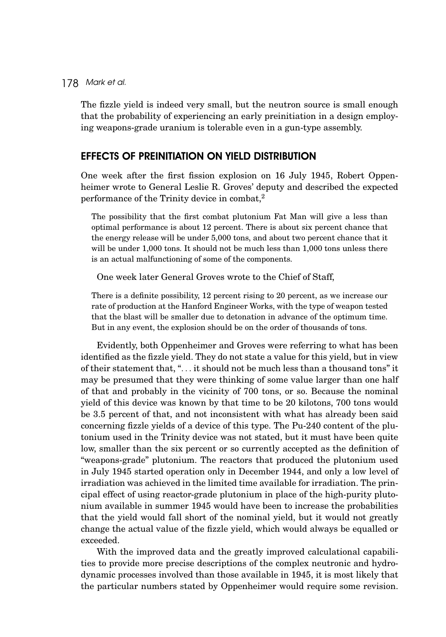The fizzle yield is indeed very small, but the neutron source is small enough that the probability of experiencing an early preinitiation in a design employing weapons-grade uranium is tolerable even in a gun-type assembly.

#### EFFECTS OF PREINITIATION ON YIELD DISTRIBUTION

One week after the first fission explosion on 16 July 1945, Robert Oppenheimer wrote to General Leslie R. Groves' deputy and described the expected performance of the Trinity device in combat,<sup>2</sup>

The possibility that the first combat plutonium Fat Man will give a less than optimal performance is about 12 percent. There is about six percent chance that the energy release will be under 5,000 tons, and about two percent chance that it will be under 1,000 tons. It should not be much less than 1,000 tons unless there is an actual malfunctioning of some of the components.

One week later General Groves wrote to the Chief of Staff,

There is a definite possibility, 12 percent rising to 20 percent, as we increase our rate of production at the Hanford Engineer Works, with the type of weapon tested that the blast will be smaller due to detonation in advance of the optimum time. But in any event, the explosion should be on the order of thousands of tons.

Evidently, both Oppenheimer and Groves were referring to what has been identified as the fizzle yield. They do not state a value for this yield, but in view of their statement that, "*...* it should not be much less than a thousand tons" it may be presumed that they were thinking of some value larger than one half of that and probably in the vicinity of 700 tons, or so. Because the nominal yield of this device was known by that time to be 20 kilotons, 700 tons would be 3.5 percent of that, and not inconsistent with what has already been said concerning fizzle yields of a device of this type. The Pu-240 content of the plutonium used in the Trinity device was not stated, but it must have been quite low, smaller than the six percent or so currently accepted as the definition of "weapons-grade" plutonium. The reactors that produced the plutonium used in July 1945 started operation only in December 1944, and only a low level of irradiation was achieved in the limited time available for irradiation. The principal effect of using reactor-grade plutonium in place of the high-purity plutonium available in summer 1945 would have been to increase the probabilities that the yield would fall short of the nominal yield, but it would not greatly change the actual value of the fizzle yield, which would always be equalled or exceeded.

With the improved data and the greatly improved calculational capabilities to provide more precise descriptions of the complex neutronic and hydrodynamic processes involved than those available in 1945, it is most likely that the particular numbers stated by Oppenheimer would require some revision.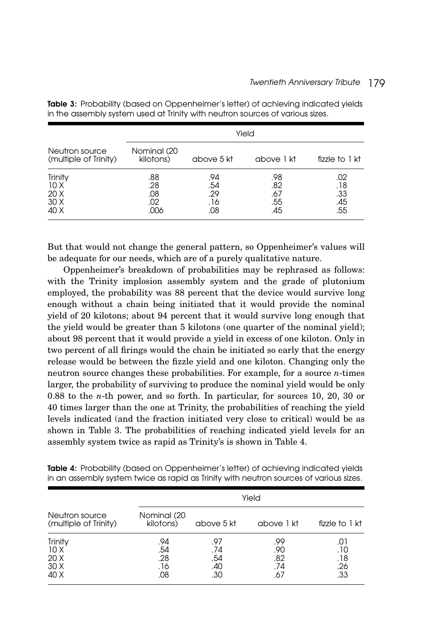|                                         | Yield                            |                                 |                                 |                                 |
|-----------------------------------------|----------------------------------|---------------------------------|---------------------------------|---------------------------------|
| Neutron source<br>(multiple of Trinity) | Nominal (20<br>kilotons)         | above 5 kt                      | above 1 kt                      | fizzle to $1$ kt                |
| Trinity<br>10X<br>20X<br>30X<br>40 X    | .88<br>.28<br>.08<br>.02<br>.006 | .94<br>.54<br>.29<br>.16<br>.08 | .98<br>.82<br>.67<br>.55<br>.45 | .02<br>.18<br>.33<br>.45<br>.55 |

Table 3: Probability (based on Oppenheimer's letter) of achieving indicated yields in the assembly system used at Trinity with neutron sources of various sizes.

But that would not change the general pattern, so Oppenheimer's values will be adequate for our needs, which are of a purely qualitative nature.

Oppenheimer's breakdown of probabilities may be rephrased as follows: with the Trinity implosion assembly system and the grade of plutonium employed, the probability was 88 percent that the device would survive long enough without a chain being initiated that it would provide the nominal yield of 20 kilotons; about 94 percent that it would survive long enough that the yield would be greater than 5 kilotons (one quarter of the nominal yield); about 98 percent that it would provide a yield in excess of one kiloton. Only in two percent of all firings would the chain be initiated so early that the energy release would be between the fizzle yield and one kiloton. Changing only the neutron source changes these probabilities. For example, for a source *n*-times larger, the probability of surviving to produce the nominal yield would be only 0.88 to the *n*-th power, and so forth. In particular, for sources 10, 20, 30 or 40 times larger than the one at Trinity, the probabilities of reaching the yield levels indicated (and the fraction initiated very close to critical) would be as shown in Table 3. The probabilities of reaching indicated yield levels for an assembly system twice as rapid as Trinity's is shown in Table 4.

| Neutron source<br>(multiple of Trinity) | Yield                           |                                 |                                 |                                   |
|-----------------------------------------|---------------------------------|---------------------------------|---------------------------------|-----------------------------------|
|                                         | Nominal (20<br>kilotons)        | above 5 kt                      | above 1 kt                      | fizzle to 1 kt                    |
| Trinity<br>10X<br>20X<br>30X<br>40 X    | .94<br>.54<br>.28<br>.16<br>.08 | .97<br>.74<br>.54<br>.40<br>.30 | .99<br>.90<br>.82<br>.74<br>.67 | .U l<br>. 10<br>.18<br>.26<br>.33 |

Table 4: Probability (based on Oppenheimer's letter) of achieving indicated yields in an assembly system twice as rapid as Trinity with neutron sources of various sizes.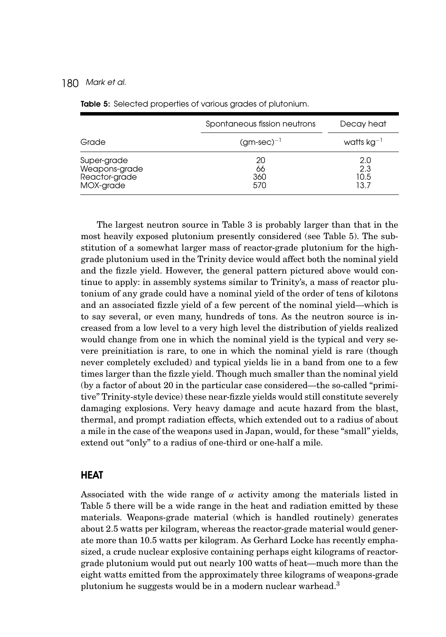|                                                            | Spontaneous fission neutrons | Decay heat                 |
|------------------------------------------------------------|------------------------------|----------------------------|
| Grade                                                      | $(gm\text{-}sec)^{-1}$       | watts $kg^{-1}$            |
| Super-grade<br>Weapons-grade<br>Reactor-grade<br>MOX-grade | 20<br>66<br>360<br>570       | 2.0<br>2.3<br>10.5<br>13.7 |

Table 5: Selected properties of various grades of plutonium.

The largest neutron source in Table 3 is probably larger than that in the most heavily exposed plutonium presently considered (see Table 5). The substitution of a somewhat larger mass of reactor-grade plutonium for the highgrade plutonium used in the Trinity device would affect both the nominal yield and the fizzle yield. However, the general pattern pictured above would continue to apply: in assembly systems similar to Trinity's, a mass of reactor plutonium of any grade could have a nominal yield of the order of tens of kilotons and an associated fizzle yield of a few percent of the nominal yield—which is to say several, or even many, hundreds of tons. As the neutron source is increased from a low level to a very high level the distribution of yields realized would change from one in which the nominal yield is the typical and very severe preinitiation is rare, to one in which the nominal yield is rare (though never completely excluded) and typical yields lie in a band from one to a few times larger than the fizzle yield. Though much smaller than the nominal yield (by a factor of about 20 in the particular case considered—the so-called "primitive" Trinity-style device) these near-fizzle yields would still constitute severely damaging explosions. Very heavy damage and acute hazard from the blast, thermal, and prompt radiation effects, which extended out to a radius of about a mile in the case of the weapons used in Japan, would, for these "small" yields, extend out "only" to a radius of one-third or one-half a mile.

#### **HEAT**

Associated with the wide range of *α* activity among the materials listed in Table 5 there will be a wide range in the heat and radiation emitted by these materials. Weapons-grade material (which is handled routinely) generates about 2.5 watts per kilogram, whereas the reactor-grade material would generate more than 10.5 watts per kilogram. As Gerhard Locke has recently emphasized, a crude nuclear explosive containing perhaps eight kilograms of reactorgrade plutonium would put out nearly 100 watts of heat—much more than the eight watts emitted from the approximately three kilograms of weapons-grade plutonium he suggests would be in a modern nuclear warhead.3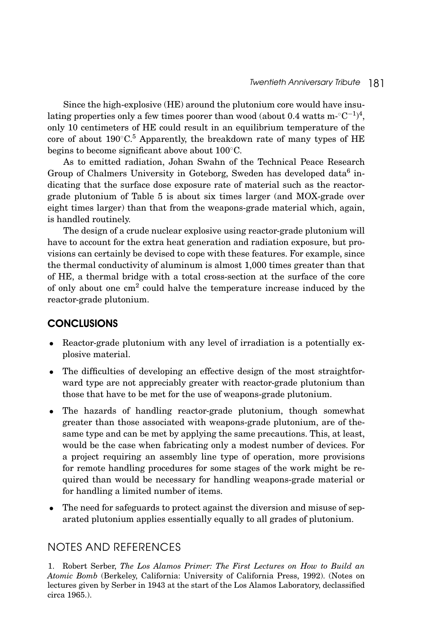Since the high-explosive (HE) around the plutonium core would have insulating properties only a few times poorer than wood (about 0.4 watts m-°C<sup>−1)4</sup>, only 10 centimeters of HE could result in an equilibrium temperature of the core of about  $190^{\circ}$ C.<sup>5</sup> Apparently, the breakdown rate of many types of HE begins to become significant above about 100◦C.

As to emitted radiation, Johan Swahn of the Technical Peace Research Group of Chalmers University in Goteborg, Sweden has developed data<sup>6</sup> indicating that the surface dose exposure rate of material such as the reactorgrade plutonium of Table 5 is about six times larger (and MOX-grade over eight times larger) than that from the weapons-grade material which, again, is handled routinely.

The design of a crude nuclear explosive using reactor-grade plutonium will have to account for the extra heat generation and radiation exposure, but provisions can certainly be devised to cope with these features. For example, since the thermal conductivity of aluminum is almost 1,000 times greater than that of HE, a thermal bridge with a total cross-section at the surface of the core of only about one  $cm<sup>2</sup>$  could halve the temperature increase induced by the reactor-grade plutonium.

# **CONCLUSIONS**

- Reactor-grade plutonium with any level of irradiation is a potentially explosive material.
- The difficulties of developing an effective design of the most straightforward type are not appreciably greater with reactor-grade plutonium than those that have to be met for the use of weapons-grade plutonium.
- The hazards of handling reactor-grade plutonium, though somewhat greater than those associated with weapons-grade plutonium, are of thesame type and can be met by applying the same precautions. This, at least, would be the case when fabricating only a modest number of devices. For a project requiring an assembly line type of operation, more provisions for remote handling procedures for some stages of the work might be required than would be necessary for handling weapons-grade material or for handling a limited number of items.
- The need for safeguards to protect against the diversion and misuse of separated plutonium applies essentially equally to all grades of plutonium.

## NOTES AND REFERENCES

1. Robert Serber, *The Los Alamos Primer: The First Lectures on How to Build an Atomic Bomb* (Berkeley, California: University of California Press, 1992). (Notes on lectures given by Serber in 1943 at the start of the Los Alamos Laboratory, declassified circa 1965.).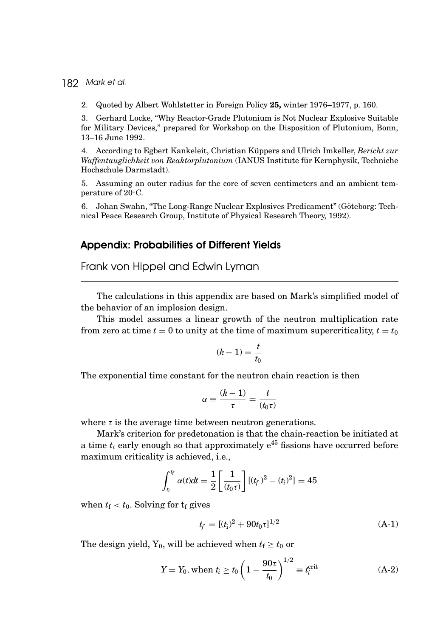2. Quoted by Albert Wohlstetter in Foreign Policy **25,** winter 1976–1977, p. 160.

3. Gerhard Locke, "Why Reactor-Grade Plutonium is Not Nuclear Explosive Suitable for Military Devices," prepared for Workshop on the Disposition of Plutonium, Bonn, 13–16 June 1992.

4. According to Egbert Kankeleit, Christian Küppers and Ulrich Imkeller, *Bericht zur Waffentauglichkeit von Reaktorplutonium* (IANUS Institute fur Kernphysik, Techniche ¨ Hochschule Darmstadt).

5. Assuming an outer radius for the core of seven centimeters and an ambient temperature of 20<sup>◦</sup>C.

6. Johan Swahn, "The Long-Range Nuclear Explosives Predicament" (Goteborg: Tech- ¨ nical Peace Research Group, Institute of Physical Research Theory, 1992).

#### Appendix: Probabilities of Different Yields

Frank von Hippel and Edwin Lyman

The calculations in this appendix are based on Mark's simplified model of the behavior of an implosion design.

This model assumes a linear growth of the neutron multiplication rate from zero at time  $t = 0$  to unity at the time of maximum supercriticality,  $t = t_0$ 

$$
(k-1) = \frac{t}{t_0}
$$

The exponential time constant for the neutron chain reaction is then

$$
\alpha \equiv \frac{(k-1)}{\tau} = \frac{t}{(t_0 \tau)}
$$

where  $\tau$  is the average time between neutron generations.

Mark's criterion for predetonation is that the chain-reaction be initiated at a time  $t_i$  early enough so that approximately  $e^{45}$  fissions have occurred before maximum criticality is achieved, i.e.,

$$
\int_{t_i}^{t_f} \alpha(t)dt = \frac{1}{2} \left[ \frac{1}{(t_0 \tau)} \right] [(t_f)^2 - (t_i)^2] = 45
$$

when  $t_f < t_0$ . Solving for  $t_f$  gives

$$
t_f = [(t_i)^2 + 90t_0 \tau]^{1/2} \tag{A-1}
$$

The design yield,  $Y_0$ , will be achieved when  $t_f \geq t_0$  or

$$
Y = Y_0
$$
, when  $t_i \ge t_0 \left(1 - \frac{90\tau}{t_0}\right)^{1/2} \equiv t_i^{\text{crit}}$  (A-2)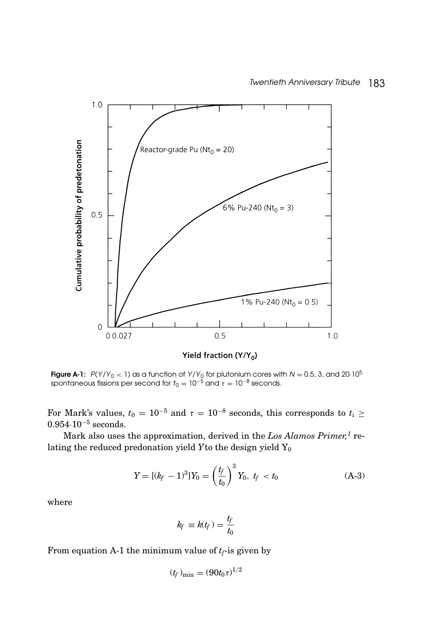

Yield fraction  $(Y/Y_0)$ 

**Figure A-1:**  $P(Y/Y_0 < 1)$  as a function of  $Y/Y_0$  for plutonium cores with  $N = 0.5$ , 3, and 20·10<sup>5</sup> spontaneous fissions per second for  $t_0 = 10^{-5}$  and  $\tau = 10^{-8}$  seconds.

For Mark's values,  $t_0 = 10^{-5}$  and  $\tau = 10^{-8}$  seconds, this corresponds to  $t_i \geq$ 0.954·10−<sup>5</sup> seconds.

Mark also uses the approximation, derived in the *Los Alamos Primer*,<sup>1</sup> relating the reduced predonation yield *Y* to the design yield Y<sub>0</sub>

$$
Y = [(k_f - 1)^3]Y_0 = \left(\frac{t_f}{t_0}\right)^3 Y_0, \ t_f < t_0 \tag{A-3}
$$

where

$$
k_f \equiv k(t_f) = \frac{t_f}{t_0}
$$

From equation A-1 the minimum value of  $t_f$ -is given by

$$
(t_f)_{\min} = (90t_0\tau)^{1/2}
$$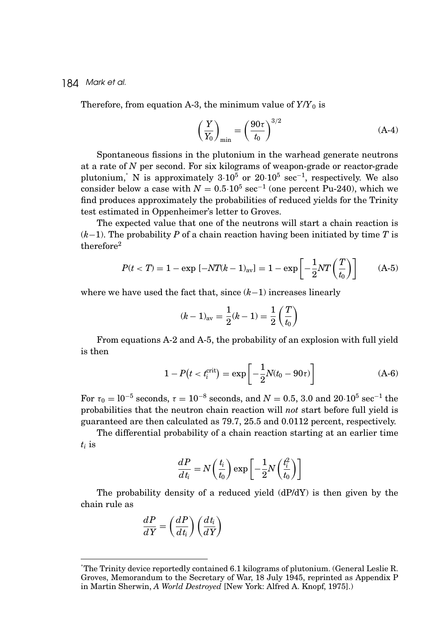Therefore, from equation A-3, the minimum value of  $Y/Y_0$  is

$$
\left(\frac{Y}{Y_0}\right)_{\min} = \left(\frac{90\tau}{t_0}\right)^{3/2} \tag{A-4}
$$

Spontaneous fissions in the plutonium in the warhead generate neutrons at a rate of *N* per second. For six kilograms of weapon-grade or reactor-grade plutonium,<sup>\*</sup> N is approximately  $3 \cdot 10^5$  or  $20 \cdot 10^5$  sec<sup>-1</sup>, respectively. We also consider below a case with  $N = 0.5 \cdot 10^5 \text{ sec}^{-1}$  (one percent Pu-240), which we find produces approximately the probabilities of reduced yields for the Trinity test estimated in Oppenheimer's letter to Groves.

The expected value that one of the neutrons will start a chain reaction is (*k*−1). The probability *P* of a chain reaction having been initiated by time *T* is therefore2

$$
P(t < T) = 1 - \exp[-NT(k - 1)_{av}] = 1 - \exp\left[-\frac{1}{2}NT\left(\frac{T}{t_0}\right)\right]
$$
 (A-5)

where we have used the fact that, since (*k*−1) increases linearly

$$
(k-1)_{\text{av}} = \frac{1}{2}(k-1) = \frac{1}{2}\left(\frac{T}{t_0}\right)
$$

From equations A-2 and A-5, the probability of an explosion with full yield is then

$$
1 - P(t < t_i^{\text{crit}}) = \exp\left[-\frac{1}{2}N(t_0 - 90\tau)\right]
$$
 (A-6)

For  $\tau_0 = 10^{-5}$  seconds,  $\tau = 10^{-8}$  seconds, and  $N = 0.5$ , 3.0 and 20·10<sup>5</sup> sec<sup>-1</sup> the probabilities that the neutron chain reaction will *not* start before full yield is guaranteed are then calculated as 79.7, 25.5 and 0.0112 percent, respectively.

The differential probability of a chain reaction starting at an earlier time *ti* is

$$
\frac{dP}{dt_i} = N\left(\frac{t_i}{t_0}\right) \exp\left[-\frac{1}{2}N\left(\frac{t_i^2}{t_0}\right)\right]
$$

The probability density of a reduced yield  $(dP/dY)$  is then given by the chain rule as

$$
\frac{dP}{dY} = \left(\frac{dP}{dt_i}\right) \left(\frac{dt_i}{dY}\right)
$$

<sup>∗</sup> The Trinity device reportedly contained 6.1 kilograms of plutonium. (General Leslie R. Groves, Memorandum to the Secretary of War, 18 July 1945, reprinted as Appendix P in Martin Sherwin, *A World Destroyed* [New York: Alfred A. Knopf, 1975].)